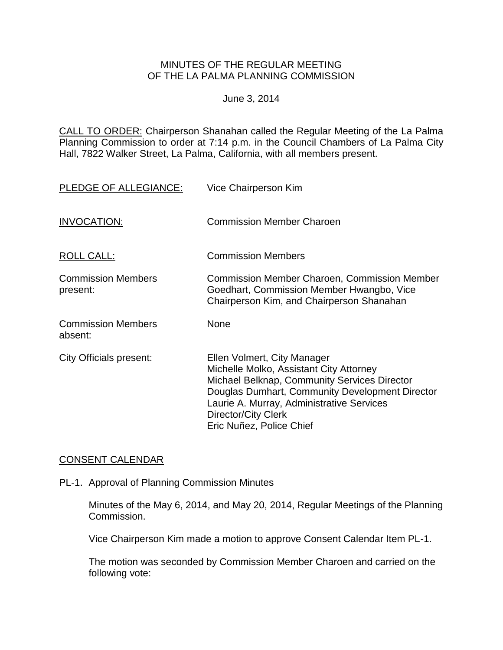### MINUTES OF THE REGULAR MEETING OF THE LA PALMA PLANNING COMMISSION

#### June 3, 2014

CALL TO ORDER: Chairperson [Shanahan called the Regular Meeting of the La Palma](http://lapalma.granicus.com/MediaPlayer.php?view_id=&clip_id=830&meta_id=109915)  Planning Commission to order at 7:14 [p.m. in the Council Chambers of La Palma City](http://lapalma.granicus.com/MediaPlayer.php?view_id=&clip_id=830&meta_id=109915)  [Hall, 7822 Walker Street, La Palma, California, with all members present.](http://lapalma.granicus.com/MediaPlayer.php?view_id=&clip_id=830&meta_id=109915)

| PLEDGE OF ALLEGIANCE:                 | Vice Chairperson Kim                                                                                                                                                                                                                                                      |
|---------------------------------------|---------------------------------------------------------------------------------------------------------------------------------------------------------------------------------------------------------------------------------------------------------------------------|
| INVOCATION:                           | <b>Commission Member Charoen</b>                                                                                                                                                                                                                                          |
| <b>ROLL CALL:</b>                     | <b>Commission Members</b>                                                                                                                                                                                                                                                 |
| <b>Commission Members</b><br>present: | <b>Commission Member Charoen, Commission Member</b><br>Goedhart, Commission Member Hwangbo, Vice<br>Chairperson Kim, and Chairperson Shanahan                                                                                                                             |
| <b>Commission Members</b><br>absent:  | <b>None</b>                                                                                                                                                                                                                                                               |
| <b>City Officials present:</b>        | Ellen Volmert, City Manager<br>Michelle Molko, Assistant City Attorney<br>Michael Belknap, Community Services Director<br>Douglas Dumhart, Community Development Director<br>Laurie A. Murray, Administrative Services<br>Director/City Clerk<br>Eric Nuñez, Police Chief |

## [CONSENT CALENDAR](http://lapalma.granicus.com/MediaPlayer.php?view_id=&clip_id=830&meta_id=110038)

PL-1. Approval of Planning Commission Minutes

Minutes of the May 6, 2014, and May 20, 2014, Regular Meetings of the Planning Commission.

Vice Chairperson Kim made a motion to approve Consent Calendar Item PL-1.

The motion was seconded by Commission Member Charoen and carried on the following vote: